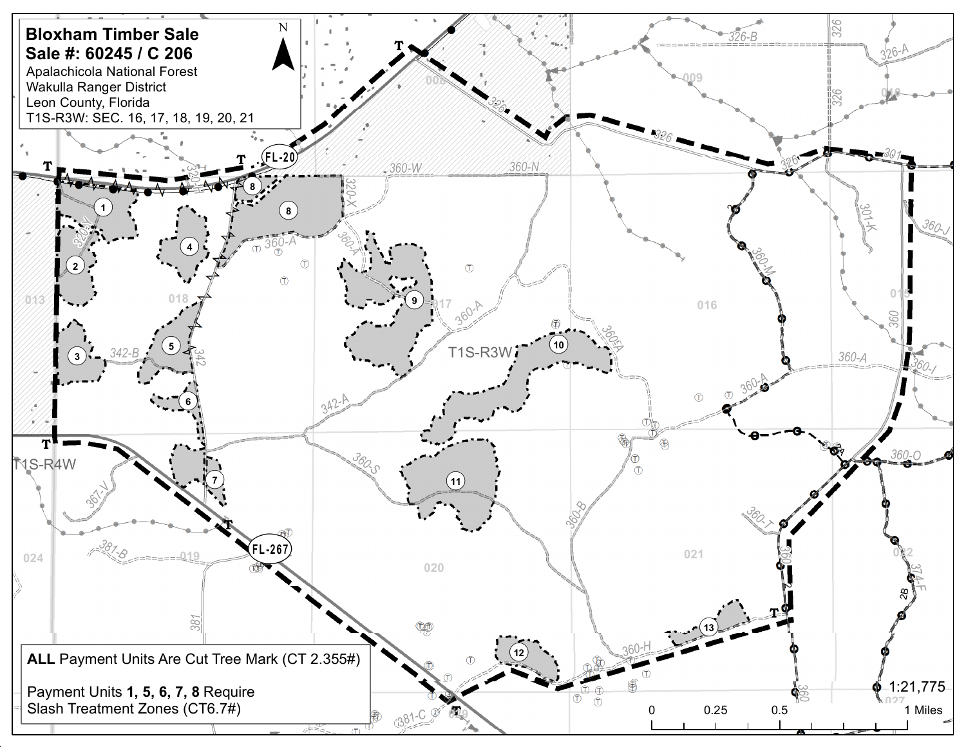